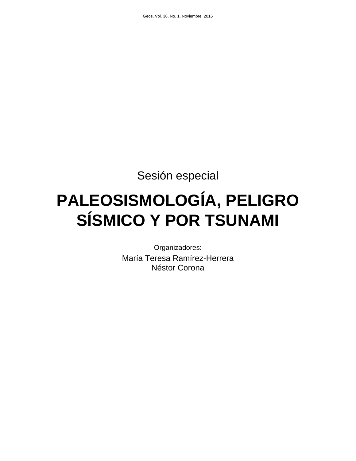Sesión especial

# **PALEOSISMOLOGÍA, PELIGRO SÍSMICO Y POR TSUNAMI**

Organizadores: María Teresa Ramírez-Herrera Néstor Corona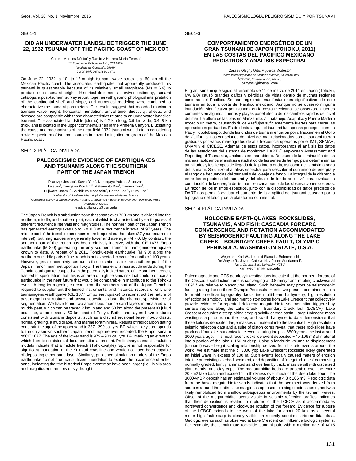#### SE01-1

## **DID AN UNDERWATER LANDSLIDE TRIGGER THE JUNE 22, 1932 TSUNAMI OFF THE PACIFIC COAST OF MEXICO?**

Corona Morales Néstor<sup>1</sup> y Ramírez-Herrera María Teresa<sup>2</sup> 1 El Colegio de Michoacán A.C., COLMICH gio es .......<br>nstituto de Geografía, UNAM corona@colmich.edu.mx

On June 22, 1932, a 10- to 12-m-high tsunami wave struck c.a. 60 km off the Mexican Pacific coast. The associated earthquake that apparently produced this tsunami is questionable because of its relatively small magnitude (Ms = 6.9) to produce such tsunami heights. Historical documents, survivor testimony, tsunami catalogs, a post-tsunami survey report, together with geomorphological interpretation of the continental shelf and slope, and numerical modeling were combined to characterize the tsunami parameters. Our results suggest that recorded maximum tsunami wave height, horizontal inundation, arrival time, directivity, effects, and damage are compatible with those characteristics related to an underwater landslide tsunami. The associated landslide (slump) is 4.2 km long, 3.9 km wide, 0.448 km thick, and is located in the upper continental shelf of the Armeria Canyon. Elucidating the cause and mechanisms of the near-field 1932 tsunami would aid in considering a wider spectrum of tsunami sources in hazard mitigation programs of the Mexican Pacific coast.

#### SE01-2 PLÁTICA INVITADA

# **PALEOSEISMIC EVIDENCE OF EARTHQUAKES AND TSUNAMIS ALONG THE SOUTHERN PART OF THE JAPAN TRENCH**

Pilarczyk Jessica<sup>1</sup>, Sawai Yuki<sup>2</sup>, Namegaya Yuichi<sup>2</sup>, Shinozaki Tetsuya<sup>2</sup>, Tanigawa Koichiro<sup>2</sup>, Matsumoto Dan<sup>2</sup>, Tamura Toru<sup>2</sup>, Fujiwara Osamu<sup>2</sup>, Shishikura Masanobu<sup>2</sup>, Horton Ben<sup>3</sup> y Dura Tina<sup>3</sup> <sup>1</sup>University of Southern Mississippi, Department of Marine Science <sup>2</sup>Geological Survey of Japan, National Institute of Advanced Industrial Science and Technology (AIST) <sup>3</sup>Rutgers University jessica.pilarczyk@usm.edu

The Japan Trench is a subduction zone that spans over 700 km and is divided into the northern, middle, and southern part, each of which is characterized by earthquakes of different recurrence intervals and magnitudes. The northern part of the Japan Trench has generated earthquakes up to ~M 8.0 at a recurrence interval of 97 years. The middle part of the trench experiences more frequent earthquakes (37 year recurrence interval), but magnitudes are generally lower and average ~M 7.0. By contrast, the southern part of the trench has been relatively inactive, with the CE 1677 Empo earthquake (M 8.0) generating the only southern trench tsunamigenic-earthquake known to date. A repeat of a 2011 Tohoku-style earthquake (M 9.0) along the northern or middle parts of the trench is not expected to occur for another 1100 years. However, great uncertainty surrounds the seismic risk for the southern part of the Japan Trench near metropolitan Tokyo. The transfer of stress southwards during the Tohoku earthquake, coupled with the potentially locked nature of the southern trench, has led to speculation that this is an area of high seismic risk that could produce an earthquake in the near future that would be comparable in magnitude to the Tohoku event. A long-term geologic record from the southern part of the Japan Trench is required to supplement the limited instrumental and historical records of only one tsunamigenic-earthquake (CE 1677 Empo earthquake) to reconstruct the nature of past megathrust rupture and answer questions about the character/persistence of segmentation. We have found two anomalous marine sand layers intercalated with muddy peat, which can be traced 2 km inland and 50 km along the present Kujukuri coastline, approximately 50 km east of Tokyo. Both sand layers have features consistent with tsunami deposits, such as a distinct erosional base, rip-up clasts, normal grading, a mud drape, and marine foraminifera. Results of radiocarbon dating constrain the age of the upper sand to 337 - 299 cal. yrs. BP, which likely corresponds to the only known southern Japan Trench rupture ever recorded, the Empo tsunami of CE 1677. The age of the lower sand is 979 – 903 cal. yrs. BP; marking an event for which there is no historical documentation at present. Preliminary tsunami simulation models indicate that a middle trench (Tohoku-style) rupture is not responsible for significant inundation of the Kujukuri coastline and would not have been capable of depositing either sand layer. Similarly, published simulation models of the Empo earthquake do not produce sufficient inundation to explain the occurrence of either sand, indicating that the historical Empo event may have been larger (i.e., in slip area and magnitude) than previously thought.

SE01-3

## **COMPORTAMIENTO ENERGÉTICO DE UN GRAN TSUNAMI DE JAPON (TOHOKU, 2011) EN LAS COSTAS DEL PACIFICO MEXICANO: REGISTROS Y ANÁLISIS ESPECTRAL**

Zaitsev Oleg<sup>1</sup> y Ortiz Figueroa Modesto<sup>2</sup> <sup>1</sup>Centro Interdisciplinario de Ciencias Marinas, CICIMAR-IPN <sup>2</sup>CICESE, Ensenada, BC, Mexico ozaytsev@hotmail.com

El gran tsunami que siguió al terremoto de 11 de marzo de 2011 en Japón (Tohoku, Mw 9.0) causó grandes daños y pérdidas de vidas dentro de muchas regiones costeras del Pacifico. Se han registrado manifestaciones significativas de este tsunami en toda la costa del Pacífico mexicano. Aunque no se observó ninguna inundación significativa por tsunami en la costa mexicana, se observaron fuertes corrientes en algunos puertos y playas por el efecto de los cambios rápidos del nivel del mar. La altura de las olas en Manzanillo, Zihuatanejo, Acapulco y Puerto Madero excedió un metro, causando flujos y reflujos suficientemente fuertes para cerrar las operaciones portuarias. Es de destacar que el tsunami fue apenas perceptible en La Paz y Topolobampo, donde las ondas de tsunami entraron por difracción en el Golfo de California. Las variaciones del nivel del mar relacionadas con el tsunami fueron grabadas por varios mareógrafos de alta frecuencia operados por el IMT, SEMAR, UNAM y el CICESE. Además de estos datos, incorporamos al análisis los datos de las estaciones del sistema de monitoreo DART (Deep-ocean Assessment and Reporting of Tsunamis), ancladas en mar abierto. Después de la eliminación de las mareas, aplicamos el análisis estadístico de las series de tiempo para determinar las amplitudes y los tiempos de llegada de la primera onda, así como de la máxima onda del tsunami. Se utilizó el análisis espectral para describir el contenido de energía y el rango de frecuencias del tsunami y del oleaje de fondo. La integral de la diferencia entre los espectros del tsunami y del oleaje de fondo se utilizó para evaluar la contribución de la energía del tsunami en cada punto de las observaciones costeras. La razón de los mismos espectros, junto con la disponibilidad de datos precisos de DART nos permitió evaluar el aumento de la amplitud del tsunami causado por la topografía del talud y de la plataforma continental.

#### SE01-4 PLÁTICA INVITADA

#### **HOLOCENE EARTHQUAKES, ROCKSLIDES, TSUNAMIS, AND FISH: CASCADIA FOREARC CONVERGENCE AND ROTATION ACCOMMODATED BY SEISMOGENIC FAULTING ALONG THE LAKE CREEK – BOUNDARY CREEK FAULT, OLYMPIC PENINSULA, WASHINGTON STATE, U.S.A.**

Wegmann Karl W., Leithold Elana L., Bohnenstiehl DelWayne R., Joyner Catelyn N. y Pollen Audrianna F. North Carolina State University, NCSU karl\_wegmann@ncsu.edu

Paleomagnetic and GPS geodesy investigations indicate that the northern forearc of the Cascadia subduction zone is converging at 0.8 mm/yr and rotating clockwise at 0.09° / Ma relative to Vancouver Island. Such behavior may produce seismogenic faulting along the northern Olympic Peninsula. Herein we present combined results from airborne lidar topography, lacustrine multi-beam bathymetry, high-resolution reflection seismology, and sediment piston cores from Lake Crescent that collectively provide evidence for repeated Holocene megaturbidite sedimentation triggered by surface rupture along the Lake Creek – Boundary Creek fault (LCBCF). Lake Crescent occupies a steep-sided deep glacially-carved basin. Large Holocene mass wasting scarps surround the lake, and swath bathymetric data demonstrate that these failures deposited large masses of material into the lake itself. High resolution seismic reflection data and a suite of piston cores reveal that these rockslides have produced four lake tsunami/seiche events during the past 8500 years, the last around 3000 years ago. This most recent rockslide event deposited ~7 x 106 m3 of material into a portion of the lake > 150 m deep. Using a landslide volume-to-displacement (tsunami) wave height scaling relationship derived from historic events around the world, we estimate that the c. 3000 ybp Lake Crescent rockslide likely generated an initial wave in excess of 100 m. Such events locally caused meters of erosion into the preexisting lakebed sediment, and deposition of "megaturbidites" comprising normally graded, faintly laminated sand overlain by thick, massive silt with dispersed plant debris, and clay caps. The megaturbidite beds are traceable over the entire 20 km2 lake basin and exceed 1 m thickness over much of the deep lake floor. The 3000-yr BP deposit has an estimated volume of about 4.8 x 106 m3. Petrologic data from the basal megaturbidite sands indicates that the sediment was derived from sources around the entire lake margin, as opposed to a single point source, and was likely remobilized from shallow subaqueous environments by the tsunami waves. Offset of the megaturbidite layers visible in seismic reflection profiles indicates that their deposition is related to ruptures of the LCBCF as it accommodates northward convergence and clockwise rotation of the forearc. Evidence for rupture of the LCBCF extends to the west of the lake for about 20 km, as a several meter high fault scarp is clearly visible on recently acquired airborne lidar data. Geologic events such as observed at Lake Crescent can influence biologic systems. For example, the penultimate rockslide-tsunami pair, with a median age of 4015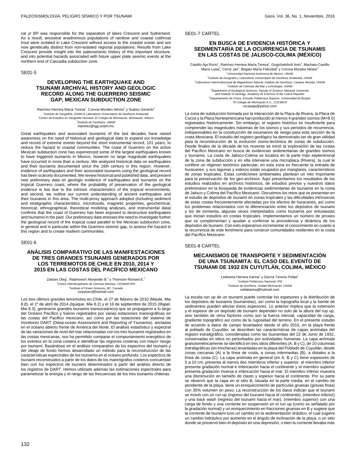SE01-7 CARTEL

# **EN BUSCA DE EVIDENCIA HISTÓRICA Y SEDIMENTARIA DE LA OCURRENCIA DE TSUNAMIS EN LAS COSTAS DE JALISCO-COLIMA (MÉXICO)**

Castillo-Aja Rocio<sup>1</sup>, Ramírez-Herrera María Teresa<sup>2</sup>, Gogichaishvili Avto<sup>3</sup>, Machain-Castillo María Luisa<sup>4</sup>, Cerný Jan<sup>5</sup>, Bógalo María Felicidad<sup>6</sup> y Corona Morales Néstor<sup>7</sup> <sup>1</sup>Universidad Nacional Autónoma de Mexico, UNAM <sup>2</sup> Instituto de Geografía y Laboratorio Universitario de Geofísica Ambiental, UNAM 3 Laboratorio Interinstitucional de Magnetismo Natural, Instituto de Geofísica, Campus Morelia, UNAM 4 Instituto de Ciencias del Mar y Limnología, UNAM <sup>5</sup>Department of Geological Sciences, Faculty of Science, Masaryk University and Institute of Geology, Academy of Sciences of the Czech Republic <sup>6</sup>Departamento de Física, Escuela Politécnica Superior, Universidad de Burgos <sup>7</sup>El Colegio de Michoacán A.C., COLMICH<br>rocasaja@yahoo.com

La zona de subducción formada por la interacción de la Placa de Rivera, la Placa de Cocos y la Placa Norteamericana han producido al menos 4 grandes sismos (M>8.0) registrados históricamente. Sin embargo, el registro histórico es insuficiente para comprender las magnitudes máximas de los sismos y sus periodos de recurrencia, indispensables en la construcción de escenarios de riesgo para esta sección de la costa Mexicana. El estudio del registro geológico ha demostrado ser de gran utilidad para la reconstrucción de la evolución sismo-tectónica de zonas de subducción. .<br>Desde finales de la década de los noventa se inició la exploración de las costas del Pacífico Mexicano en busca de evidencias sedimentarias de grandes sismos y tsunamis. La costa de Jalisco-Colima se localiza en la parte más septentrional de la zona de subducción y en ella interviene una microplaca (Rivera), la cual le confiere un régimen tectónico particular; en esta zona es frecuente la entrada de huracanes, y sus lagunas y esteros están ocupados por manglares, característicos de zonas tropicales. Estas condiciones ambientales plantean un reto importante para la preservación de los geo-archivos. Aquí presentamos los resultados de los estudios realizados en archivos históricos, de estudios previos y nuestros datos preliminares en la búsqueda de evidencias sedimentarias de tsunamis en la costa de Jalisco y Colima del Pacífico Mexicano. Discutimos los retos que se presentan en el estudio de depósitos de tsunami en zonas tropicales y las dificultades intrínsecas de estas costas frecuentemente afectadas por los efectos de huracanes, así como los problemas relacionados con la diferenciación entre los depósitos de tsunami y los de tormenta, algunas veces interpretados como tsunamis por entusiastas que inician estudios en costas tropicales. Implementamos un número de proxies que se complementan y ayudan a confirmar la procedencia y dinámica de los depósitos de tsunami. Con esto esperamos incrementar el conocimiento en cuanto a la recurrencia de este fenómeno para construir comunidades resilientes en la costa del Pacífico Mexicano.

SE01-8 CARTEL

## **MECANISMOS DE TRANSPORTE Y SEDIMENTACIÓN DE UNA TSUNAMITA: EL CASO DEL EVENTO DE TSUNAMI DE 1932 EN CUYUTLÁN, COLIMA, MÉXICO**

Ledesma Herrera Karina<sup>1</sup> y García Tenorio Felipe<sup>2</sup> <sup>1</sup> Instituto Politécnico Nacional, IPN 2 Instituto de Geofísica, Unidad Michoacán, UNAM celtakarina@hotmail.com

La escala run up de un tsunami puede controlar los espesores y la distribución de los depósitos de tsunamis (tsunamitas), así como la topografía local y la fuente de sedimentos pueden afectar éstos espesores. Lo anterior implica que la extensión y el espesor de un depósito de tsunami dependen no solo de la altura del rup up, sino también de otros factores como son la fuerza inercial, capacidad de carga, gradiente topográfico así como de la rugosidad del terreno. En el presente estudio de acuerdo a datos de campo levantados desde el año 2010, en la playa frente al poblado de Cuyutlán, se describen las características de capas anómalas del registro estratigráfico, consideradas como las tsunamitas del 22 de Junio de 1932, conservadas en sitios no perturbados por actividades humanas. La capa anómala granulométricamente se identificó en tres sitios diferentes (A, B y C), de 10 columnas estratigráficas (en trincheras) levantadas en la playa del Poblado de Cuyutlán, desde zonas cercanas (A) a la línea de costa, a zonas intermedias (B), a distales a la línea de costa (C). La capa anómala en general (en A, B y C) tiene espesores de 5 a 10 cm, presenta al menos dos miembros inferior y superior, el miembro inferior presenta gradación normal e imbricación hacia el continente y el miembro superior presenta gradación inversa e imbricación hacia el mar. El miembro inferior muestra una disminución en tamaño de clasto y espesor hacia el continente. Por su parte se observó que la capa en el sitio B, situada en la parte media, en el cambio de pendiente de la playa, tiene un enriquecimiento de partículas gruesas (gravas finas) con 35% volumen en peso. La reconstrucción de los datos indican que el tsunami se movió con un run up (ingreso del tsunami hacia el continente), (miembro inferior) y una back wash (regreso del tsunami hacia el mar), (miembro superior) con una carga de fondo y una corriente en suspensión en el run up (como es señalado por la gradación normal) y un enriquecimiento en fracciones gruesas en B y sugiere que la corriente de tsunami tuvo un cambio en la sedimentación drástico, el cual sugiere un cambio hidráulico por aumento en el ángulo de inclinación de la playa, o un sitio donde se preservó bien el depósito en una depresión, o bien la corriente llevaba más

cal yr BP was responsible for the separation of lakes Crescent and Sutherland. As a result, ancestral anadromous populations of rainbow and coastal cutthroat trout were isolated in Lake Crescent without access to the coastal ocean and are now genetically distinct from non-isolated regional populations. Results from Lake Crescent provide insight into the paleoseismic history of this important structure, and into potential hazards associated with future upper plate seismic events at the northern end of Cascadia subduction zone.

#### SE01-5

# **DEVELOPING THE EARTHQUAKE AND TSUNAMI ARCHIVAL HISTORY AND GEOLOGIC RECORD ALONG THE GUERRERO SEISMIC GAP, MEXICAN SUBDUCTION ZONE**

Ramírez-Herrera María Teresa<sup>1</sup>, Corona Morales Néstor<sup>2</sup> y Suárez Gerardo<sup>3</sup> <sup>1</sup>Instituto de Geografía, UNAM & Laboratorio Universitario de Geofísica Ambiental  $2$ Centro de Estudios en Geografía Humana, El Colegio de Michoacán, Michoacán, México 3 Instituto de Geofísica, UNAM tramirez@igg.unam.mx

Great earthquakes and associated tsunamis of the last decades have raised awareness on the need of historical and geological data to expand our knowledge and record of extreme events beyond the short instrumental record, 101 years, to reduce the hazard to coastal communities. The coast of Guerrero on the active Mexican subduction zone has experienced some of the largest earthquakes known to have triggered tsunamis in Mexico, however no large magnitude earthquakes have occurred in more than a century. We analyzed historical data on earthquakes and their tsunamis documented since the 16th century in this region. However, evidence of earthquakes and their associated tsunamis using the geological record has been scarcely documented. We review historical and published data, and present new preliminary data on geologic evidence of earthquakes and tsunamis on the tropical Guerrero coast, where the probability of preservation of the geological evidence is low due to the intrinsic characteristics of the tropical environments; and second, we outline our current understanding of ancient earthquakes and their tsunamis in this area. The multi-proxy approach adopted (including sediment and stratigraphic characteristics, microfossils, magnetic properties, geochemical, historical, ethnographical, theoretical modeling analyses, and instrumental data) confirms that the coast of Guerrero has been exposed to destructive earthquakes and tsunamis in the past. Our preliminary data stresses the need to investigate further the geological record of the tropical coast parallel to the Mexican subduction zone, in general and in particular within the Guerrero seismic gap, to assess the hazard in this region and to create resilient communities.

#### SE01-6

# **ANÁLISIS COMPARATIVO DE LAS MANIFESTACIONES DE TRES GRANDES TSUNAMIS GENERADOS POR LOS TERREMOTOS DE CHILE EN 2010, 2014 Y 2015 EN LAS COSTAS DEL PACÍFICO MEXICANO**

Zaitsev Oleg<sup>1</sup>, Rabinovich Alexander B.<sup>2</sup> y Thomson Richard E.<sup>2</sup> <sup>1</sup>Centro Interdisciplinario de Ciencias Marinas, CICIMAR-IPN <sup>2</sup> Institute of Ocean Sciences, BC, Canada ozaytsev@hotmail.com

Los tres últimos grandes terremotos en Chile, el 27 de febrero de 2010 (Maule, Mw 8.8), el 1º de abril de 2014 (Iquique, Mw 8.2) y el 16 de septiembre de 2015 (Illapel, Mw 8.3), generaron grandes tsunamis transoceánicos que se propagaron a lo largo del Océano Pacífico y fueron registrados por varias estaciones mareográficas en las costas del Pacifico mexicano, así como por las estaciones del sistema de monitoreo DART (Deep-ocean Assessment and Reporting of Tsunamis), ancladas en el océano abierto frente de América del Norte. El análisis estadístico y espectral de las variaciones de nivel del mar relacionadas con los tres tsunamis registrados en las costas mexicanas, nos ha permitido comparar el comportamiento energético de los eventos en la zona costera e identificar las regiones costeras con mayor riesgo por tsunami. Basándose en el análisis comparativo de los espectros del tsunami y del oleaje de fondo hemos desarrollado un método para la reconstrucción de las características espectrales de los tsunamis en el océano profundo. Los espectros de tsunami reconstruidos a partir de los datos de los mareógrafos costeros concuerdan bien con los espectros de tsunami determinados a partir del análisis directo de los registros de DART. Hemos utilizado además las estimaciones espectrales para parametrizar la energía y el rango de las frecuencias de los tres tsunamis chilenas.